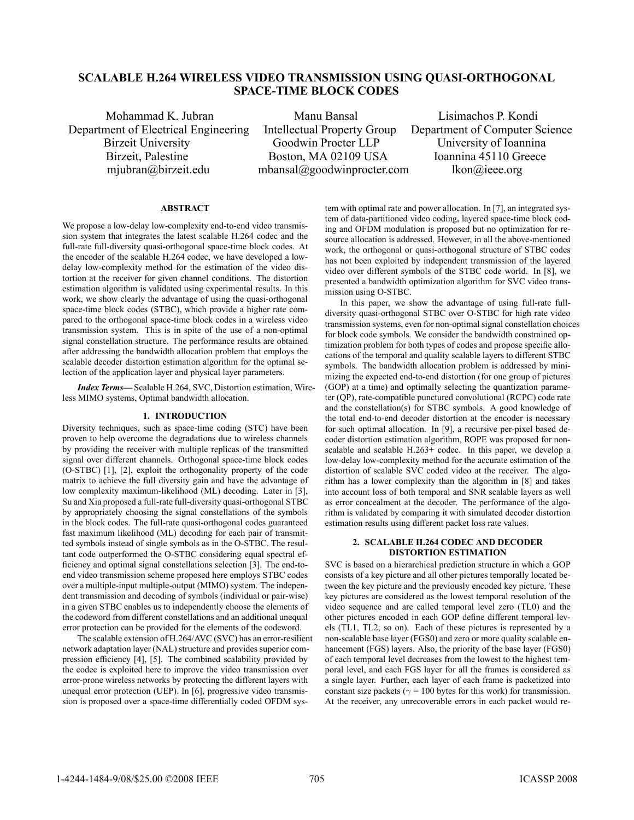# **SCALABLE H.264 WIRELESS VIDEO TRANSMISSION USING QUASI-ORTHOGONAL SPACE-TIME BLOCK CODES**

Mohammad K. Jubran Manu Bansal Lisimachos P. Kondi Department of Electrical Engineering Intellectual Property Group Department of Computer Science

Birzeit University Goodwin Procter LLP University of Ioannina Birzeit, Palestine Boston, MA 02109 USA Ioannina 45110 Greece mjubran@birzeit.edu mbansal@goodwinprocter.com lkon@ieee.org

## **ABSTRACT**

We propose a low-delay low-complexity end-to-end video transmission system that integrates the latest scalable H.264 codec and the full-rate full-diversity quasi-orthogonal space-time block codes. At the encoder of the scalable H.264 codec, we have developed a lowdelay low-complexity method for the estimation of the video distortion at the receiver for given channel conditions. The distortion estimation algorithm is validated using experimental results. In this work, we show clearly the advantage of using the quasi-orthogonal space-time block codes (STBC), which provide a higher rate compared to the orthogonal space-time block codes in a wireless video transmission system. This is in spite of the use of a non-optimal signal constellation structure. The performance results are obtained after addressing the bandwidth allocation problem that employs the scalable decoder distortion estimation algorithm for the optimal selection of the application layer and physical layer parameters.

*Index Terms***—**Scalable H.264, SVC, Distortion estimation, Wireless MIMO systems, Optimal bandwidth allocation.

# **1. INTRODUCTION**

Diversity techniques, such as space-time coding (STC) have been proven to help overcome the degradations due to wireless channels by providing the receiver with multiple replicas of the transmitted signal over different channels. Orthogonal space-time block codes (O-STBC) [1], [2], exploit the orthogonality property of the code matrix to achieve the full diversity gain and have the advantage of low complexity maximum-likelihood (ML) decoding. Later in [3], Su and Xia proposed a full-rate full-diversity quasi-orthogonal STBC by appropriately choosing the signal constellations of the symbols in the block codes. The full-rate quasi-orthogonal codes guaranteed fast maximum likelihood (ML) decoding for each pair of transmitted symbols instead of single symbols as in the O-STBC. The resultant code outperformed the O-STBC considering equal spectral efficiency and optimal signal constellations selection [3]. The end-toend video transmission scheme proposed here employs STBC codes over a multiple-input multiple-output (MIMO) system. The independent transmission and decoding of symbols (individual or pair-wise) in a given STBC enables us to independently choose the elements of the codeword from different constellations and an additional unequal error protection can be provided for the elements of the codeword.

The scalable extension of H.264/AVC (SVC) has an error-resilient network adaptation layer (NAL) structure and provides superior compression efficiency [4], [5]. The combined scalability provided by the codec is exploited here to improve the video transmission over error-prone wireless networks by protecting the different layers with unequal error protection (UEP). In [6], progressive video transmission is proposed over a space-time differentially coded OFDM system with optimal rate and power allocation. In [7], an integrated system of data-partitioned video coding, layered space-time block coding and OFDM modulation is proposed but no optimization for resource allocation is addressed. However, in all the above-mentioned work, the orthogonal or quasi-orthogonal structure of STBC codes has not been exploited by independent transmission of the layered video over different symbols of the STBC code world. In [8], we presented a bandwidth optimization algorithm for SVC video transmission using O-STBC.

In this paper, we show the advantage of using full-rate fulldiversity quasi-orthogonal STBC over O-STBC for high rate video transmission systems, even for non-optimal signal constellation choices for block code symbols. We consider the bandwidth constrained optimization problem for both types of codes and propose specific allocations of the temporal and quality scalable layers to different STBC symbols. The bandwidth allocation problem is addressed by minimizing the expected end-to-end distortion (for one group of pictures (GOP) at a time) and optimally selecting the quantization parameter (QP), rate-compatible punctured convolutional (RCPC) code rate and the constellation(s) for STBC symbols. A good knowledge of the total end-to-end decoder distortion at the encoder is necessary for such optimal allocation. In [9], a recursive per-pixel based decoder distortion estimation algorithm, ROPE was proposed for nonscalable and scalable H.263+ codec. In this paper, we develop a low-delay low-complexity method for the accurate estimation of the distortion of scalable SVC coded video at the receiver. The algorithm has a lower complexity than the algorithm in [8] and takes into account loss of both temporal and SNR scalable layers as well as error concealment at the decoder. The performance of the algorithm is validated by comparing it with simulated decoder distortion estimation results using different packet loss rate values.

# **2. SCALABLE H.264 CODEC AND DECODER DISTORTION ESTIMATION**

SVC is based on a hierarchical prediction structure in which a GOP consists of a key picture and all other pictures temporally located between the key picture and the previously encoded key picture. These key pictures are considered as the lowest temporal resolution of the video sequence and are called temporal level zero (TL0) and the other pictures encoded in each GOP define different temporal levels (TL1, TL2, so on). Each of these pictures is represented by a non-scalable base layer (FGS0) and zero or more quality scalable enhancement (FGS) layers. Also, the priority of the base layer (FGS0) of each temporal level decreases from the lowest to the highest temporal level, and each FGS layer for all the frames is considered as a single layer. Further, each layer of each frame is packetized into constant size packets ( $\gamma$  = 100 bytes for this work) for transmission. At the receiver, any unrecoverable errors in each packet would re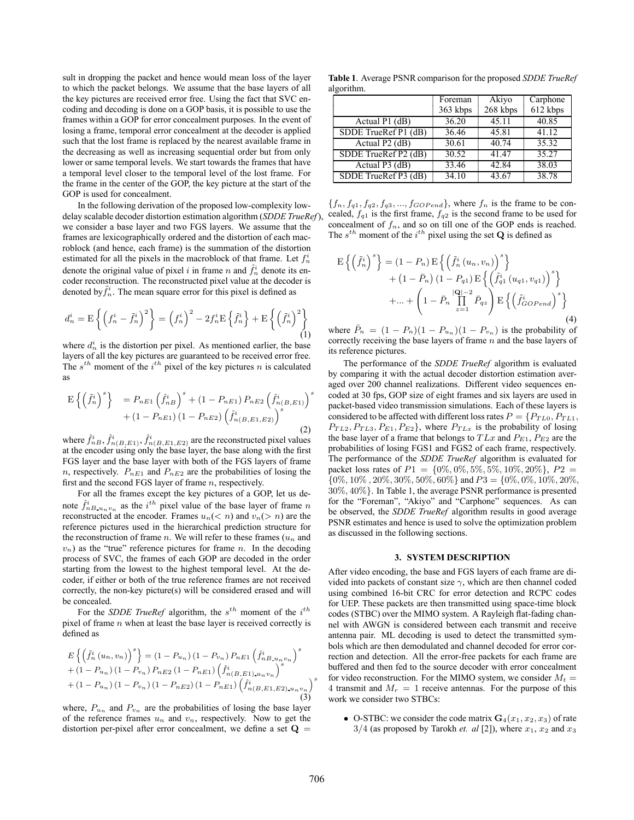sult in dropping the packet and hence would mean loss of the layer to which the packet belongs. We assume that the base layers of all the key pictures are received error free. Using the fact that SVC encoding and decoding is done on a GOP basis, it is possible to use the frames within a GOP for error concealment purposes. In the event of losing a frame, temporal error concealment at the decoder is applied such that the lost frame is replaced by the nearest available frame in the decreasing as well as increasing sequential order but from only lower or same temporal levels. We start towards the frames that have a temporal level closer to the temporal level of the lost frame. For the frame in the center of the GOP, the key picture at the start of the GOP is used for concealment.

In the following derivation of the proposed low-complexity lowdelay scalable decoder distortion estimation algorithm (*SDDE TrueRef*), we consider a base layer and two FGS layers. We assume that the frames are lexicographically ordered and the distortion of each macroblock (and hence, each frame) is the summation of the distortion estimated for all the pixels in the macroblock of that frame. Let  $f_n^i$ denote the original value of pixel i in frame n and  $\hat{f}_n^i$  denote its encoder reconstruction. The reconstructed pixel value at the decoder is denoted by  $\tilde{f}_n^i$ . The mean square error for this pixel is defined as

$$
d_n^i = \mathcal{E}\left\{ \left(f_n^i - \tilde{f}_n^i\right)^2 \right\} = \left(f_n^i\right)^2 - 2f_n^i \mathcal{E}\left\{ \tilde{f}_n^i \right\} + \mathcal{E}\left\{ \left(\tilde{f}_n^i\right)^2 \right\}
$$
(1)

where  $d_n^i$  is the distortion per pixel. As mentioned earlier, the base layers of all the key pictures are guaranteed to be received error free. The  $s^{th}$  moment of the  $i^{th}$  pixel of the key pictures n is calculated as

$$
E\left\{ \left(\tilde{f}_{n}^{i}\right)^{s} \right\} = P_{nE1} \left(\hat{f}_{nB}^{i}\right)^{s} + (1 - P_{nE1}) P_{nE2} \left(\hat{f}_{n(B,E1)}^{i}\right)^{s} + (1 - P_{nE1}) (1 - P_{nE2}) \left(\hat{f}_{n(B,E1,E2)}^{i}\right)^{s}
$$
\n(2)

where  $\hat{f}_{nB}^i$ ,  $\hat{f}_{n(B,E1)}^i$ ,  $\hat{f}_{n(B,E1,E2)}^i$  are the reconstructed pixel values at the encoder using only the base layer, the base along with the first FGS layer and the base layer with both of the FGS layers of frame n, respectively.  $P_{nE1}$  and  $P_{nE2}$  are the probabilities of losing the first and the second FGS layer of frame n, respectively.

For all the frames except the key pictures of a GOP, let us denote  $\hat{f}_{nB \cdot u_n v_n}^i$  as the *i*<sup>th</sup> pixel value of the base layer of frame *n* reconstructed at the encoder. Frames  $u_n(< n)$  and  $v_n(> n)$  are the reference pictures used in the hierarchical prediction structure for the reconstruction of frame n. We will refer to these frames  $(u_n$  and  $v_n$ ) as the "true" reference pictures for frame n. In the decoding process of SVC, the frames of each GOP are decoded in the order starting from the lowest to the highest temporal level. At the decoder, if either or both of the true reference frames are not received correctly, the non-key picture(s) will be considered erased and will be concealed.

For the *SDDE TrueRef* algorithm, the  $s^{th}$  moment of the  $i^{th}$ pixel of frame n when at least the base layer is received correctly is defined as

$$
E\left\{ \left( \tilde{f}_n^i (u_n, v_n) \right)^s \right\} = (1 - P_{u_n}) (1 - P_{v_n}) P_{nE1} \left( \hat{f}_{nB \ u_n v_n}^i \right)^s
$$
  
+ (1 - P\_{u\_n}) (1 - P\_{v\_n}) P\_{nE2} (1 - P\_{nE1}) \left( \hat{f}\_{n(B,E1) u\_n v\_n}^i \right)^s  
+ (1 - P\_{u\_n}) (1 - P\_{v\_n}) (1 - P\_{nE2}) (1 - P\_{nE1}) \left( \hat{f}\_{n(B,E1,E2) u\_n v\_n}^i \right)^s (3)

where,  $P_{u_n}$  and  $P_{v_n}$  are the probabilities of losing the base layer of the reference frames  $u_n$  and  $v_n$ , respectively. Now to get the distortion per-pixel after error concealment, we define a set  $Q =$ 

**Table 1**. Average PSNR comparison for the proposed *SDDE TrueRef* algorithm.

|                      | Foreman  | Akiyo    | Carphone |
|----------------------|----------|----------|----------|
|                      | 363 kbps | 268 kbps | 612 kbps |
| Actual $P1$ (dB)     | 36.20    | 45.11    | 40.85    |
| SDDE TrueRef P1 (dB) | 36.46    | 45.81    | 41.12    |
| Actual P2 (dB)       | 30.61    | 40.74    | 35.32    |
| SDDE TrueRef P2 (dB) | 30.52    | 41.47    | 35.27    |
| Actual $P3$ (dB)     | 33.46    | 42.84    | 38.03    |
| SDDE TrueRef P3 (dB) | 34.10    | 43.67    | 38.78    |

 ${f_n, f_{q1}, f_{q2}, f_{q3}, ..., f_{GOPend}}$ , where  $f_n$  is the frame to be concealed,  $f_{q1}$  is the first frame,  $f_{q2}$  is the second frame to be used for concealment of  $f_n$ , and so on till one of the GOP ends is reached. The  $s^{th}$  moment of the  $i^{th}$  pixel using the set **Q** is defined as

$$
\mathbf{E}\left\{\left(\tilde{f}_n^i\right)^s\right\} = (1 - P_n) \mathbf{E}\left\{\left(\tilde{f}_n^i\left(u_n, v_n\right)\right)^s\right\} \n+ (1 - \bar{P}_n) (1 - P_{q1}) \mathbf{E}\left\{\left(\tilde{f}_{q1}^i\left(u_{q1}, v_{q1}\right)\right)^s\right\} \n+ \dots + \left(1 - \bar{P}_n \prod_{z=1}^{|Q|-2} \bar{P}_{qz}\right) \mathbf{E}\left\{\left(\tilde{f}_{GOPend}^i\right)^s\right\}
$$
\n(4)

where  $\bar{P}_n = (1 - P_n)(1 - P_{u_n})(1 - P_{v_n})$  is the probability of correctly receiving the base layers of frame  $n$  and the base layers of its reference pictures.

The performance of the *SDDE TrueRef* algorithm is evaluated by comparing it with the actual decoder distortion estimation averaged over 200 channel realizations. Different video sequences encoded at 30 fps, GOP size of eight frames and six layers are used in packet-based video transmission simulations. Each of these layers is considered to be affected with different loss rates  $P = \{P_{T L 0}, P_{T L 1}, P_{T L 1}\}$  $P_{TL2}, P_{TL3}, P_{E1}, P_{E2}$ , where  $P_{TLx}$  is the probability of losing the base layer of a frame that belongs to  $TLx$  and  $P_{E1}$ ,  $P_{E2}$  are the probabilities of losing FGS1 and FGS2 of each frame, respectively. The performance of the *SDDE TrueRef* algorithm is evaluated for packet loss rates of  $P1 = \{0\%, 0\%, 5\%, 5\%, 10\%, 20\%\}, P2 =$  $\{0\%, 10\%, 20\%, 30\%, 50\%, 60\%\}\$  and  $P3 = \{0\%, 0\%, 10\%, 20\%$ , 30%, 40%}. In Table 1, the average PSNR performance is presented for the "Foreman", "Akiyo" and "Carphone" sequences. As can be observed, the *SDDE TrueRef* algorithm results in good average PSNR estimates and hence is used to solve the optimization problem as discussed in the following sections.

### **3. SYSTEM DESCRIPTION**

After video encoding, the base and FGS layers of each frame are divided into packets of constant size  $\gamma$ , which are then channel coded using combined 16-bit CRC for error detection and RCPC codes for UEP. These packets are then transmitted using space-time block codes (STBC) over the MIMO system. A Rayleigh flat-fading channel with AWGN is considered between each transmit and receive antenna pair. ML decoding is used to detect the transmitted symbols which are then demodulated and channel decoded for error correction and detection. All the error-free packets for each frame are buffered and then fed to the source decoder with error concealment for video reconstruction. For the MIMO system, we consider  $M_t =$ 4 transmit and  $M_r = 1$  receive antennas. For the purpose of this work we consider two STBCs:

• O-STBC: we consider the code matrix  $\mathbf{G}_4(x_1, x_2, x_3)$  of rate  $3/4$  (as proposed by Tarokh *et. al* [2]), where  $x_1, x_2$  and  $x_3$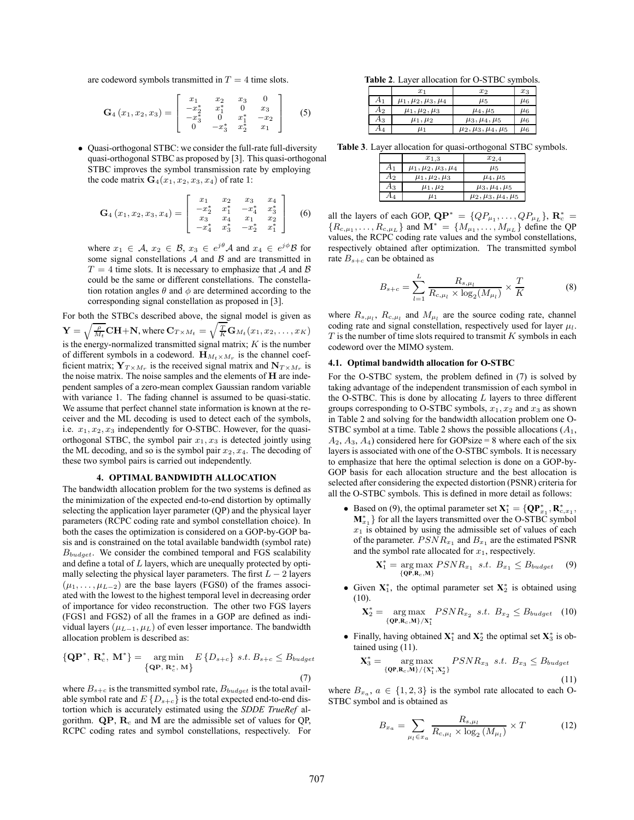are codeword symbols transmitted in  $T = 4$  time slots.

$$
\mathbf{G}_4(x_1,x_2,x_3)=\left[\begin{array}{cccc} x_1 & x_2 & x_3 & 0\\ -x_2^* & x_1^* & 0 & x_3\\ -x_3^* & 0 & x_1^* & -x_2\\ 0 & -x_3^* & x_2^* & x_1 \end{array}\right] \qquad (5)
$$

• Quasi-orthogonal STBC: we consider the full-rate full-diversity quasi-orthogonal STBC as proposed by [3]. This quasi-orthogonal STBC improves the symbol transmission rate by employing the code matrix  $\mathbf{G}_4(x_1, x_2, x_3, x_4)$  of rate 1:

$$
\mathbf{G}_4(x_1,x_2,x_3,x_4)=\left[\begin{array}{cccc} x_1 & x_2 & x_3 & x_4 \\ -x_2^* & x_1^* & -x_4^* & x_3^* \\ x_3 & x_4 & x_1 & x_2 \\ -x_4^* & x_3^* & -x_2^* & x_1^* \end{array}\right] \quad (6)
$$

where  $x_1 \in A$ ,  $x_2 \in B$ ,  $x_3 \in e^{j\theta}A$  and  $x_4 \in e^{j\phi}B$  for some signal constellations  $A$  and  $B$  and are transmitted in  $T = 4$  time slots. It is necessary to emphasize that A and B could be the same or different constellations. The constellation rotation angles  $\theta$  and  $\phi$  are determined according to the corresponding signal constellation as proposed in [3].

For both the STBCs described above, the signal model is given as  $\mathbf{Y} = \sqrt{\frac{\rho}{M_t}} \mathbf{C} \mathbf{H} + \mathbf{N}$ , where  $\mathbf{C}_{T \times M_t} = \sqrt{\frac{T}{K}} \mathbf{G}_{M_t}(x_1, x_2, \dots, x_K)$  is the energy-normalized transmitted signal matrix; *K* is the number of different symbols in a codeword.  $\mathbf{H}_{M_t \times M_r}$  is the channel coefficient matrix;  $\mathbf{Y}_{T \times M_r}$  is the received signal matrix and  $\mathbf{N}_{T \times M_r}$  is the noise matrix. The noise samples and the elements of **H** are independent samples of a zero-mean complex Gaussian random variable with variance 1. The fading channel is assumed to be quasi-static. We assume that perfect channel state information is known at the receiver and the ML decoding is used to detect each of the symbols, i.e.  $x_1, x_2, x_3$  independently for O-STBC. However, for the quasiorthogonal STBC, the symbol pair  $x_1, x_3$  is detected jointly using the ML decoding, and so is the symbol pair  $x_2, x_4$ . The decoding of these two symbol pairs is carried out independently.

#### **4. OPTIMAL BANDWIDTH ALLOCATION**

The bandwidth allocation problem for the two systems is defined as the minimization of the expected end-to-end distortion by optimally selecting the application layer parameter (QP) and the physical layer parameters (RCPC coding rate and symbol constellation choice). In both the cases the optimization is considered on a GOP-by-GOP basis and is constrained on the total available bandwidth (symbol rate)  $B_{budget}$ . We consider the combined temporal and FGS scalability and define a total of  $L$  layers, which are unequally protected by optimally selecting the physical layer parameters. The first  $L - 2$  layers  $(\mu_1,\ldots,\mu_{L-2})$  are the base layers (FGS0) of the frames associated with the lowest to the highest temporal level in decreasing order of importance for video reconstruction. The other two FGS layers (FGS1 and FGS2) of all the frames in a GOP are defined as individual layers ( $\mu_{L-1}, \mu_L$ ) of even lesser importance. The bandwidth allocation problem is described as:

$$
\{\mathbf{QP}^*, \ \mathbf{R}_c^*, \ \mathbf{M}^*\} = \underset{\{\mathbf{QP}, \ \mathbf{R}_c^*, \ \mathbf{M}\}}{\text{arg min}} E\{D_{s+c}\} \ s.t. \ B_{s+c} \leq B_{budget} \tag{7}
$$

where  $B_{s+c}$  is the transmitted symbol rate,  $B_{budget}$  is the total available symbol rate and  $E\{D_{s+c}\}\$ is the total expected end-to-end distortion which is accurately estimated using the *SDDE TrueRef* algorithm.  $\mathbf{QP}, \mathbf{R}_c$  and M are the admissible set of values for QP, RCPC coding rates and symbol constellations, respectively. For

**Table 2**. Layer allocation for O-STBC symbols.

|       | $x_1$                        | $x_2$                        | $x_3$   |
|-------|------------------------------|------------------------------|---------|
| $A_1$ | $\mu_1, \mu_2, \mu_3, \mu_4$ | $\mu_5$                      | $\mu_6$ |
| $A_2$ | $\mu_1, \mu_2, \mu_3$        | $\mu_4, \mu_5$               | $\mu_6$ |
| $A_3$ | $\mu_1, \mu_2$               | $\mu_3, \mu_4, \mu_5$        | $\mu_6$ |
| $A_4$ | $\mu_1$                      | $\mu_2, \mu_3, \mu_4, \mu_5$ | $\mu_6$ |

**Table 3**. Layer allocation for quasi-orthogonal STBC symbols.

|       | $x_{1,3}$                    | $x_{2,4}$                    |
|-------|------------------------------|------------------------------|
| A1    | $\mu_1, \mu_2, \mu_3, \mu_4$ | $\mu_5$                      |
| $A_2$ | $\mu_1, \mu_2, \mu_3$        | $\mu_4, \mu_5$               |
| $A_3$ | $\mu_1, \mu_2$               | $\mu_3, \mu_4, \mu_5$        |
| $A_4$ | $\mu_1$                      | $\mu_2, \mu_3, \mu_4, \mu_5$ |

all the layers of each GOP,  $\mathbf{QP}^* = \{QP_{\mu_1}, \dots, QP_{\mu_L}\}, \mathbf{R}_c^* =$ an the tayers of each GOP,  $QP = \{QP_{\mu_1}, \dots, QP_{\mu_L}\}\$ ,  $\mathbf{R}_c = \{R_{c,\mu_1}, \dots, R_{c,\mu_L}\}\$  and  $\mathbf{M}^* = \{M_{\mu_1}, \dots, M_{\mu_L}\}\$  define the QP values the RCPC coding rate values and the symbol constellations values, the RCPC coding rate values and the symbol constellations, respectively obtained after optimization. The transmitted symbol rate  $B_{s+c}$  can be obtained as

$$
B_{s+c} = \sum_{l=1}^{L} \frac{R_{s,\mu_l}}{R_{c,\mu_l} \times \log_2(M_{\mu_l})} \times \frac{T}{K}
$$
 (8)

where  $R_{s,\mu_l}$ ,  $R_{c,\mu_l}$  and  $M_{\mu_l}$  are the source coding rate, channel coding rate and signal constellation, respectively used for layer  $\mu_l$ .  $T$  is the number of time slots required to transmit  $K$  symbols in each codeword over the MIMO system.

## **4.1. Optimal bandwidth allocation for O-STBC**

For the O-STBC system, the problem defined in (7) is solved by taking advantage of the independent transmission of each symbol in the O-STBC. This is done by allocating  $L$  layers to three different groups corresponding to O-STBC symbols,  $x_1, x_2$  and  $x_3$  as shown in Table 2 and solving for the bandwidth allocation problem one O-STBC symbol at a time. Table 2 shows the possible allocations  $(A_1, A_2)$  $A_2$ ,  $A_3$ ,  $A_4$ ) considered here for GOPsize = 8 where each of the six layers is associated with one of the O-STBC symbols. It is necessary to emphasize that here the optimal selection is done on a GOP-by-GOP basis for each allocation structure and the best allocation is selected after considering the expected distortion (PSNR) criteria for all the O-STBC symbols. This is defined in more detail as follows:

• Based on (9), the optimal parameter set  $X_1^* = \{QP_{x_1}^*, R_{c,x_1}^*, \dots, R_{c,x_n}^*\}$  for all the layers transmitted over the O-STBC symbol  $\mathbf{M}_{x_1}^*$ } for all the layers transmitted over the O-STBC symbol  $x_1$  is obtained by using the admissible set of values of each of the parameter.  $PSNR_{x_1}$  and  $B_{x_1}$  are the estimated PSNR and the symbol rate allocated for  $x_1$ , respectively.

$$
\mathbf{X}_1^* = \underset{\{\mathbf{Q}\mathbf{P}, \mathbf{R}_c, \mathbf{M}\}}{\arg \max} PSNR_{x_1} \ \ s.t. \ \ B_{x_1} \leq B_{budget} \tag{9}
$$

• Given **X**<sup>∗</sup> <sup>1</sup>, the optimal parameter set **X**<sup>∗</sup> <sup>2</sup> is obtained using  $(10)$ .

$$
\mathbf{X}_2^* = \underset{\{\mathbf{Q} \mathbf{P}, \mathbf{R}_c, \mathbf{M}\}}{\arg \max} \; PSNR_{x_2} \; s.t. \; B_{x_2} \leq B_{budget} \quad (10)
$$

• Finally, having obtained **X**<sup>∗</sup> <sup>1</sup> and **X**<sup>∗</sup> <sup>2</sup> the optimal set **X**<sup>∗</sup> <sup>3</sup> is obtained using (11).

$$
\mathbf{X}_3^* = \underset{\{\mathbf{QP}, \mathbf{R}_c, \mathbf{M}\}/\{\mathbf{X}_1^*, \mathbf{X}_2^*\}}{\arg \max} PSNR_{x_3} \ \ s.t. \ \ B_{x_3} \leq B_{budget} \tag{11}
$$

where  $B_{x_a}$ ,  $a \in \{1,2,3\}$  is the symbol rate allocated to each O-STBC symbol and is obtained as

$$
B_{x_a} = \sum_{\mu_l \in x_a} \frac{R_{s, \mu_l}}{R_{c, \mu_l} \times \log_2(M_{\mu_l})} \times T
$$
 (12)